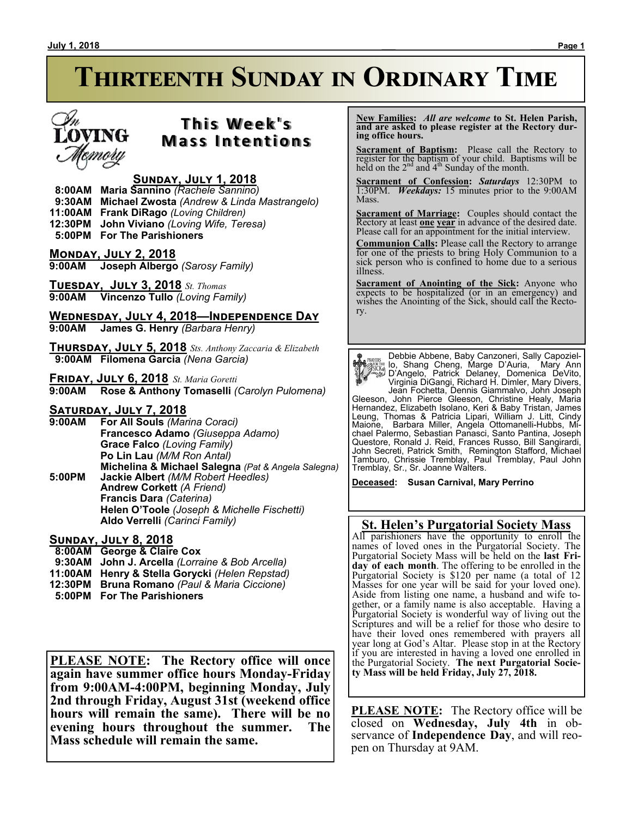# **Thirteenth Sunday in Ordinary Time**



# **T h i s We e k ' s Mass Intentions**

# **Sunday, July 1, 2018**

 **8:00AM Maria Sannino** *(Rachele Sannino)*

 **9:30AM Michael Zwosta** *(Andrew & Linda Mastrangelo)*

**11:00AM Frank DiRago** *(Loving Children)*

**12:30PM John Viviano** *(Loving Wife, Teresa)*

 **5:00PM For The Parishioners**

**Monday, July 2, 2018 9:00AM Joseph Albergo** *(Sarosy Family)*

**Tuesday, July 3, 2018** *St. Thomas* **9:00AM Vincenzo Tullo** *(Loving Family)*

**Wednesday, July 4, 2018—Independence Day 9:00AM James G. Henry** *(Barbara Henry)*

**Thursday, July 5, 2018** *Sts. Anthony Zaccaria & Elizabeth*  **9:00AM Filomena Garcia** *(Nena Garcia)*

**Friday, July 6, 2018** *St. Maria Goretti* **9:00AM Rose & Anthony Tomaselli** *(Carolyn Pulomena)*

## **Saturday, July 7, 2018**

**9:00AM For All Souls** *(Marina Coraci)* **Francesco Adamo** *(Giuseppa Adamo)* **Grace Falco** *(Loving Family)* **Po Lin Lau** *(M/M Ron Antal)* **Michelina & Michael Salegna** *(Pat & Angela Salegna)* **5:00PM Jackie Albert** *(M/M Robert Heedles)* **Andrew Corkett** *(A Friend)* **Francis Dara** *(Caterina)* **Helen O'Toole** *(Joseph & Michelle Fischetti)* **Aldo Verrelli** *(Carinci Family)*

**Sunday, July 8, 2018**

 **8:00AM George & Claire Cox**

- **9:30AM John J. Arcella** *(Lorraine & Bob Arcella)*
- **11:00AM Henry & Stella Gorycki** *(Helen Repstad)*
- **12:30PM Bruna Romano** *(Paul & Maria Ciccione)*
- **5:00PM For The Parishioners**

**PLEASE NOTE: The Rectory office will once again have summer office hours Monday-Friday from 9:00AM-4:00PM, beginning Monday, July 2nd through Friday, August 31st (weekend office hours will remain the same). There will be no evening hours throughout the summer. The Mass schedule will remain the same.**

 **New Families:** *All are welcome* **to St. Helen Parish, and are asked to please register at the Rectory during office hours.**

**Sacrament of Baptism:**Please call the Rectory to register for the baptism of your child. Baptisms will be held on the  $2<sup>nd</sup>$  and  $4<sup>th</sup>$  Sunday of the month.

**Sacrament of Confession:** *Saturdays* 12:30PM to 1:30PM. *Weekdays:* 15 minutes prior to the 9:00AM Mass.

**Sacrament of Marriage:**Couples should contact the Rectory at least **one year** in advance of the desired date. Please call for an appointment for the initial interview.

**Communion Calls:** Please call the Rectory to arrange for one of the priests to bring Holy Communion to a sick person who is confined to home due to a serious illness.

**Sacrament of Anointing of the Sick:** Anyone who expects to be hospitalized (or in an emergency) and wishes the Anointing of the Sick, should call the Rectory.

Debbie Abbene, Baby Canzoneri, Sally Capoziello, Shang Cheng, Marge D'Auria, Mary Ann D'Angelo, Patrick Delaney, Domenica DeVito, Virginia DiGangi, Richard H. Dimler, Mary Divers, Jean Fochetta, Dennis Giammalvo, John Joseph Gleeson, John Pierce Gleeson, Christine Healy, Maria Hernandez, Elizabeth Isolano, Keri & Baby Tristan, James Leung, Thomas & Patricia Lipari, William J. Litt, Cindy Maione, Barbara Miller, Angela Ottomanelli-Hubbs, Michael Palermo, Sebastian Panasci, Santo Pantina, Joseph Questore, Ronald J. Reid, Frances Russo, Bill Sangirardi, John Secreti, Patrick Smith, Remington Stafford, Michael Tamburo, Chrissie Tremblay, Paul Tremblay, Paul John Tremblay, Sr., Sr. Joanne Walters.

**Deceased: Susan Carnival, Mary Perrino**

# **St. Helen's Purgatorial Society Mass**

All parishioners have the opportunity to enroll the names of loved ones in the Purgatorial Society. The Purgatorial Society Mass will be held on the **last Friday of each month**. The offering to be enrolled in the Purgatorial Society is \$120 per name (a total of 12 Masses for one year will be said for your loved one). Aside from listing one name, a husband and wife together, or a family name is also acceptable. Having a Purgatorial Society is wonderful way of living out the Scriptures and will be a relief for those who desire to have their loved ones remembered with prayers all year long at God's Altar. Please stop in at the Rectory if you are interested in having a loved one enrolled in the Purgatorial Society. **The next Purgatorial Society Mass will be held Friday, July 27, 2018.**

**PLEASE NOTE:** The Rectory office will be closed on **Wednesday, July 4th** in observance of **Independence Day**, and will reopen on Thursday at 9AM.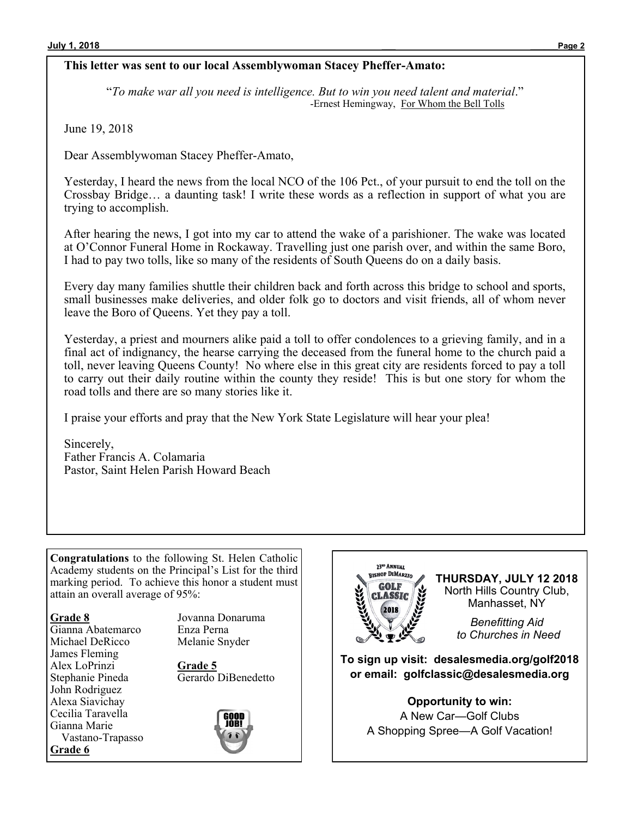# **This letter was sent to our local Assemblywoman Stacey Pheffer-Amato:**

"*To make war all you need is intelligence. But to win you need talent and material*." -Ernest Hemingway, For Whom the Bell Tolls

June 19, 2018

Dear Assemblywoman Stacey Pheffer-Amato,

Yesterday, I heard the news from the local NCO of the 106 Pct., of your pursuit to end the toll on the Crossbay Bridge… a daunting task! I write these words as a reflection in support of what you are trying to accomplish.

After hearing the news, I got into my car to attend the wake of a parishioner. The wake was located at O'Connor Funeral Home in Rockaway. Travelling just one parish over, and within the same Boro, I had to pay two tolls, like so many of the residents of South Queens do on a daily basis.

Every day many families shuttle their children back and forth across this bridge to school and sports, small businesses make deliveries, and older folk go to doctors and visit friends, all of whom never leave the Boro of Queens. Yet they pay a toll.

Yesterday, a priest and mourners alike paid a toll to offer condolences to a grieving family, and in a final act of indignancy, the hearse carrying the deceased from the funeral home to the church paid a toll, never leaving Queens County! No where else in this great city are residents forced to pay a toll to carry out their daily routine within the county they reside! This is but one story for whom the road tolls and there are so many stories like it.

I praise your efforts and pray that the New York State Legislature will hear your plea!

Sincerely, Father Francis A. Colamaria Pastor, Saint Helen Parish Howard Beach

**Congratulations** to the following St. Helen Catholic Academy students on the Principal's List for the third marking period. To achieve this honor a student must attain an overall average of 95%:

#### **Grade 8**

Gianna Abatemarco Michael DeRicco James Fleming Alex LoPrinzi Stephanie Pineda John Rodriguez Alexa Siavichay Cecilia Taravella Gianna Marie Vastano-Trapasso **Grade 6**

Jovanna Donaruma Enza Perna Melanie Snyder

**Grade 5** Gerardo DiBenedetto





**THURSDAY, JULY 12 2018** North Hills Country Club, Manhasset, NY

> *Benefitting Aid to Churches in Need*

**To sign up visit: desalesmedia.org/golf2018 or email: golfclassic@desalesmedia.org**

> **Opportunity to win:** A New Car—Golf Clubs A Shopping Spree—A Golf Vacation!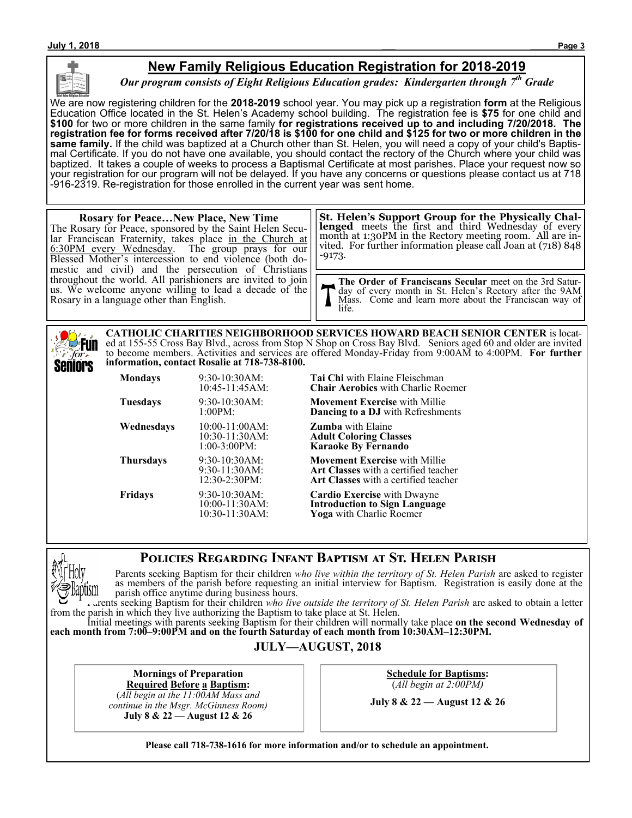

# **New Family Religious Education Registration for 2018-2019**

*Our program consists of Eight Religious Education grades: Kindergarten through 7th Grade*

We are now registering children for the **2018-2019** school year. You may pick up a registration **form** at the Religious Education Office located in the St. Helen's Academy school building. The registration fee is **\$75** for one child and **\$100** for two or more children in the same family **for registrations received up to and including 7/20/2018. The registration fee for forms received after 7/20/18 is \$100 for one child and \$125 for two or more children in the same family.** If the child was baptized at a Church other than St. Helen, you will need a copy of your child's Baptismal Certificate. If you do not have one available, you should contact the rectory of the Church where your child was baptized. It takes a couple of weeks to process a Baptismal Certificate at most parishes. Place your request now so your registration for our program will not be delayed. If you have any concerns or questions please contact us at 718 -916-2319. Re-registration for those enrolled in the current year was sent home.

#### **Rosary for Peace…New Place, New Time** The Rosary for Peace, sponsored by the Saint Helen Secular Franciscan Fraternity, takes place in the Church at 6:30PM every Wednesday. The group prays for our Blessed Mother's intercession to end violence (both domestic and civil) and the persecution of Christians throughout the world. All parishioners are invited to join us. We welcome anyone willing to lead a decade of the Rosary in a language other than English. -9173.

**St. Helen's Support Group for the Physically Challenged** meets the first and third Wednesday of every month at 1:30PM in the Rectory meeting room. All are invited. For further information please call Joan at (718) 848

**The Order of Franciscans Secular** meet on the 3rd Saturday of every month in St. Helen's Rectory after the 9AM Mass. Come and learn more about the Franciscan way of life.

**CATHOLIC CHARITIES NEIGHBORHOOD SERVICES HOWARD BEACH SENIOR CENTER** is located at 155-55 Cross Bay Blvd., across from Stop N Shop on Cross Bay Blvd. Seniors aged 60 and older are invited **Fun** to become members. Activities and services are offered Monday-Friday from 9:00AM to 4:00PM. **For further**  for. **information, contact Rosalie at 718-738-8100.** Seniors

| <b>Mondays</b>  | 9:30-10:30AM:<br>$10:45-11:45AM$                        | Tа<br>Cł       |
|-----------------|---------------------------------------------------------|----------------|
| <b>Tuesdays</b> | 9:30-10:30AM:<br>1:00PM:                                | М<br>Dε        |
| Wednesdays      | 10:00-11:00AM:<br>$10:30-11:30AM$<br>$1:00-3:00PM$      | Ζı<br>Aο<br>K٤ |
| Thursdays       | $9:30-10:30AM$<br>$9:30-11:30AM$<br>$12:30-2:30PM:$     | М<br>Aı<br>Aı  |
| Fridays         | $9:30-10:30AM$ :<br>$10:00-11:30AM$ :<br>10:30-11:30AM: | Cε<br>In<br>Yο |

**Mondays** 9:30-10:30AM: **Tai Chi** with Elaine Fleischman hair Aerobics with Charlie Roemer

**ovement Exercise** with Millie ancing to a DJ with Refreshments

**umba** with Elaine 10:30-11:30AM: **Adult Coloring Classes** 1:00-3:00PM: **Karaoke By Fernando**

**ovement Exercise** with Millie 9:30-11:30AM: **Art Classes** with a certified teacher 12:30-2:30PM: **Art Classes** with a certified teacher

**Ardio Exercise** with Dwayne 10:00-11:30AM: **Introduction to Sign Language 10.30** a with Charlie Roemer

# **Policies Regarding Infant Baptism at St. Helen Parish**



Parents seeking Baptism for their children *who live within the territory of St. Helen Parish* are asked to register as members of the parish before requesting an initial interview for Baptism. Registration is easily done at the parish office anytime during business hours.

Parents seeking Baptism for their children *who live outside the territory of St. Helen Parish* are asked to obtain a letter from the parish in which they live authorizing the Baptism to take place at St. Helen.

Initial meetings with parents seeking Baptism for their children will normally take place **on the second Wednesday of each month from 7:00–9:00PM and on the fourth Saturday of each month from 10:30AM–12:30PM.**

## **JULY—AUGUST, 2018**

**Mornings of Preparation Required Before a Baptism:**

(*All begin at the 11:00AM Mass and continue in the Msgr. McGinness Room)* **July 8 & 22 — August 12 & 26**

**Schedule for Baptisms:** (*All begin at 2:00PM)*

**July 8 & 22 — August 12 & 26**

**Please call 718-738-1616 for more information and/or to schedule an appointment.**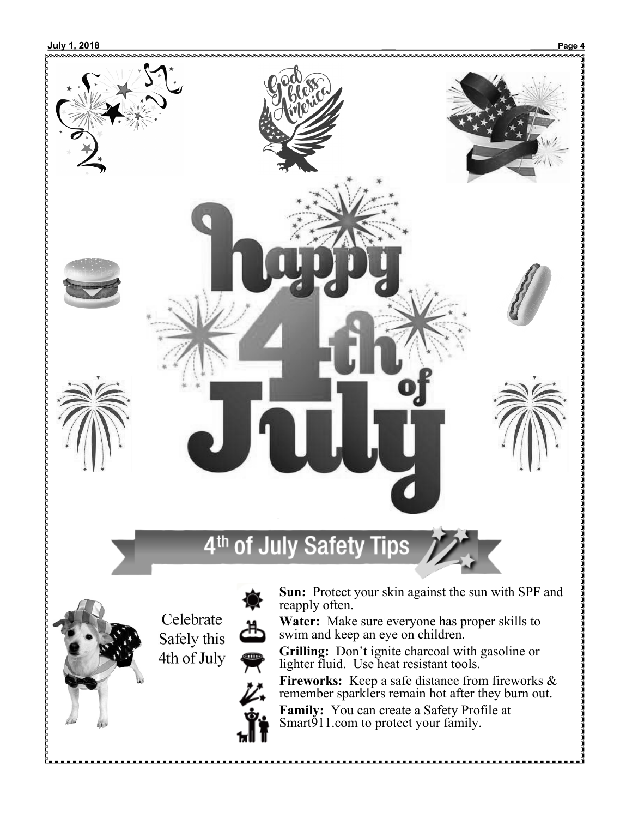

**Fireworks:** Keep a safe distance from fireworks & remember sparklers remain hot after they burn out.

**Family:** You can create a Safety Profile at Smart<sup>911</sup>.com to protect your family.